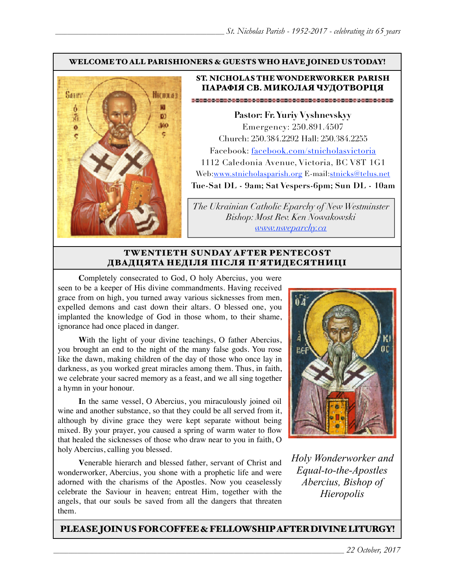#### WELCOME TO ALL PARISHIONERS & GUESTS WHO HAVE JOINED US TODAY!



### ST. NICHOLAS THE WONDERWORKER PARISH ПАРАФІЯ СВ. МИКОЛАЯ ЧУДОТВОРЦЯ

**Pastor: Fr. Yuriy Vyshnevskyy** Emergency: 250.891.4507 Church: 250.384.2292 Hall: 250.384.2255 Facebook: facebook.com/stnicholasvictoria 1112 Caledonia Avenue, Victoria, BC V8T 1G1 Web[:www.stnicholasparish.org](http://www.stnicholasparish.org) E-mail:[stnicks@telus.net](mailto:stnicks@telus.net) **Tue-Sat DL - 9am; Sat Vespers-6pm; Sun DL - 10am**

*The Ukrainian Catholic Eparchy of New Westminster Bishop: Most Rev. Ken Nowakowski [www.nweparchy.ca](http://www.nweparchy.ca)*

#### TWENTIETH SUNDAY AFTER PENTECOST ДВАДЦЯТА НЕДІЛЯ ПІСЛЯ П**'**ЯТИДЕСЯТНИЦІ

Completely consecrated to God, O holy Abercius, you were seen to be a keeper of His divine commandments. Having received grace from on high, you turned away various sicknesses from men, expelled demons and cast down their altars. O blessed one, you implanted the knowledge of God in those whom, to their shame, ignorance had once placed in danger.

With the light of your divine teachings, O father Abercius, you brought an end to the night of the many false gods. You rose like the dawn, making children of the day of those who once lay in darkness, as you worked great miracles among them. Thus, in faith, we celebrate your sacred memory as a feast, and we all sing together a hymn in your honour.

**I**n the same vessel, O Abercius, you miraculously joined oil wine and another substance, so that they could be all served from it, although by divine grace they were kept separate without being mixed. By your prayer, you caused a spring of warm water to flow that healed the sicknesses of those who draw near to you in faith, O holy Abercius, calling you blessed.

**V**enerable hierarch and blessed father, servant of Christ and wonderworker, Abercius, you shone with a prophetic life and were adorned with the charisms of the Apostles. Now you ceaselessly celebrate the Saviour in heaven; entreat Him, together with the angels, that our souls be saved from all the dangers that threaten them.



*Holy Wonderworker and Equal-to-the-Apostles Abercius, Bishop of Hieropolis*

#### PLEASE JOIN US FOR COFFEE & FELLOWSHIP AFTER DIVINE LITURGY!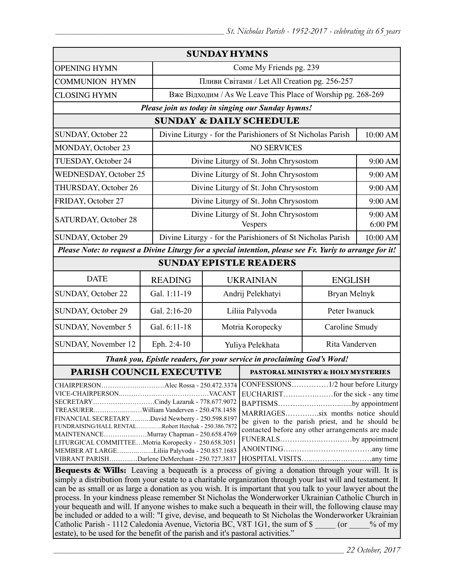| <b>SUNDAY HYMNS</b>                                                                                                                                                                                                                                                                                                                                                                        |                |                                                              |                                                                                                                                                                                              |                                       |                    |  |  |
|--------------------------------------------------------------------------------------------------------------------------------------------------------------------------------------------------------------------------------------------------------------------------------------------------------------------------------------------------------------------------------------------|----------------|--------------------------------------------------------------|----------------------------------------------------------------------------------------------------------------------------------------------------------------------------------------------|---------------------------------------|--------------------|--|--|
| <b>OPENING HYMN</b>                                                                                                                                                                                                                                                                                                                                                                        |                | Come My Friends pg. 239                                      |                                                                                                                                                                                              |                                       |                    |  |  |
| <b>COMMUNION HYMN</b>                                                                                                                                                                                                                                                                                                                                                                      |                | Пливи Світами / Let All Creation pg. 256-257                 |                                                                                                                                                                                              |                                       |                    |  |  |
| <b>CLOSING HYMN</b>                                                                                                                                                                                                                                                                                                                                                                        |                | Вже Відходим / As We Leave This Place of Worship pg. 268-269 |                                                                                                                                                                                              |                                       |                    |  |  |
| Please join us today in singing our Sunday hymns!                                                                                                                                                                                                                                                                                                                                          |                |                                                              |                                                                                                                                                                                              |                                       |                    |  |  |
| <b>SUNDAY &amp; DAILY SCHEDULE</b>                                                                                                                                                                                                                                                                                                                                                         |                |                                                              |                                                                                                                                                                                              |                                       |                    |  |  |
| SUNDAY, October 22<br>Divine Liturgy - for the Parishioners of St Nicholas Parish                                                                                                                                                                                                                                                                                                          |                |                                                              |                                                                                                                                                                                              | 10:00 AM                              |                    |  |  |
| MONDAY, October 23                                                                                                                                                                                                                                                                                                                                                                         |                | <b>NO SERVICES</b>                                           |                                                                                                                                                                                              |                                       |                    |  |  |
| TUESDAY, October 24                                                                                                                                                                                                                                                                                                                                                                        |                | Divine Liturgy of St. John Chrysostom                        |                                                                                                                                                                                              |                                       | 9:00 AM            |  |  |
| <b>WEDNESDAY, October 25</b>                                                                                                                                                                                                                                                                                                                                                               |                |                                                              |                                                                                                                                                                                              | Divine Liturgy of St. John Chrysostom |                    |  |  |
| THURSDAY, October 26                                                                                                                                                                                                                                                                                                                                                                       |                |                                                              |                                                                                                                                                                                              | Divine Liturgy of St. John Chrysostom |                    |  |  |
| FRIDAY, October 27                                                                                                                                                                                                                                                                                                                                                                         |                | Divine Liturgy of St. John Chrysostom                        |                                                                                                                                                                                              |                                       | 9:00 AM            |  |  |
| SATURDAY, October 28                                                                                                                                                                                                                                                                                                                                                                       |                | Divine Liturgy of St. John Chrysostom<br>Vespers             |                                                                                                                                                                                              |                                       | 9:00 AM<br>6:00 PM |  |  |
| SUNDAY, October 29                                                                                                                                                                                                                                                                                                                                                                         |                | Divine Liturgy - for the Parishioners of St Nicholas Parish  |                                                                                                                                                                                              |                                       | 10:00 AM           |  |  |
| Please Note: to request a Divine Liturgy for a special intention, please see Fr. Yuriy to arrange for it!                                                                                                                                                                                                                                                                                  |                |                                                              |                                                                                                                                                                                              |                                       |                    |  |  |
| <b>SUNDAY EPISTLE READERS</b>                                                                                                                                                                                                                                                                                                                                                              |                |                                                              |                                                                                                                                                                                              |                                       |                    |  |  |
| <b>DATE</b>                                                                                                                                                                                                                                                                                                                                                                                | <b>READING</b> |                                                              | <b>UKRAINIAN</b><br><b>ENGLISH</b>                                                                                                                                                           |                                       |                    |  |  |
| SUNDAY, October 22                                                                                                                                                                                                                                                                                                                                                                         | Gal. 1:11-19   |                                                              | Andrij Pelekhatyi                                                                                                                                                                            | Bryan Melnyk                          |                    |  |  |
| SUNDAY, October 29                                                                                                                                                                                                                                                                                                                                                                         | Gal. 2:16-20   | Liliia Palyvoda                                              |                                                                                                                                                                                              | Peter Iwanuck                         |                    |  |  |
| SUNDAY, November 5                                                                                                                                                                                                                                                                                                                                                                         | Gal. 6:11-18   | Motria Koropecky                                             |                                                                                                                                                                                              | Caroline Smudy                        |                    |  |  |
| SUNDAY, November 12                                                                                                                                                                                                                                                                                                                                                                        | Eph. 2:4-10    | Rita Vanderven<br>Yuliya Pelekhata                           |                                                                                                                                                                                              |                                       |                    |  |  |
| Thank you, Epistle readers, for your service in proclaiming God's Word!                                                                                                                                                                                                                                                                                                                    |                |                                                              |                                                                                                                                                                                              |                                       |                    |  |  |
| PARISH COUNCIL EXECUTIVE                                                                                                                                                                                                                                                                                                                                                                   |                |                                                              | <b>PASTORAL MINISTRY &amp; HOLY MYSTERIES</b>                                                                                                                                                |                                       |                    |  |  |
| CHAIRPERSONAlec Rossa - 250.472.3374<br>SECRETARYCindy Lazaruk - 778.677.9072<br>TREASURERWilliam Vanderven - 250.478.1458<br>FINANCIAL SECRETARYDavid Newberry - 250.598.8197<br>FUNDRAISING/HALL RENTALRobert Herchak - 250.386.7872<br>MAINTENANCEMurray Chapman - 250.658.4769<br>LITURGICAL COMMITTEEMotria Koropecky - 250.658.3051<br>MEMBER AT LARGELiliia Palyvoda - 250.857.1683 |                |                                                              | BAPTISMSby appointment<br>MARRIAGESsix months notice should<br>be given to the parish priest, and he should be<br>contacted before any other arrangements are made<br>FUNERALSby appointment |                                       |                    |  |  |
| VIBRANT PARISHDarlene DeMerchant - 250.727.3837<br><b>Bequests &amp; Wills:</b> Leaving a bequeath is a process of giving a donation through your will. It is                                                                                                                                                                                                                              |                |                                                              |                                                                                                                                                                                              |                                       |                    |  |  |

simply a distribution from your estate to a charitable organization through your last will and testament. It can be as small or as large a donation as you wish. It is important that you talk to your lawyer about the process. In your kindness please remember St Nicholas the Wonderworker Ukrainian Catholic Church in your bequeath and will. If anyone wishes to make such a bequeath in their will, the following clause may be included or added to a will: "I give, devise, and bequeath to St Nicholas the Wonderworker Ukrainian Catholic Parish - 1112 Caledonia Avenue, Victoria BC, V8T 1G1, the sum of \$  $\qquad \qquad$  (or  $\qquad \qquad$  % of my estate), to be used for the benefit of the parish and it's pastoral activities."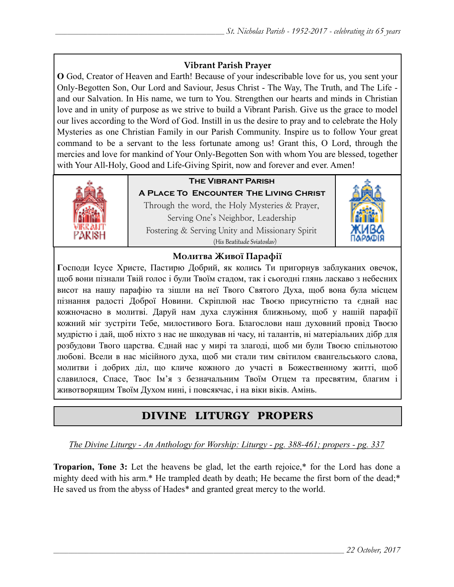### **Vibrant Parish Prayer**

**O** God, Creator of Heaven and Earth! Because of your indescribable love for us, you sent your Only-Begotten Son, Our Lord and Saviour, Jesus Christ - The Way, The Truth, and The Life and our Salvation. In His name, we turn to You. Strengthen our hearts and minds in Christian love and in unity of purpose as we strive to build a Vibrant Parish. Give us the grace to model our lives according to the Word of God. Instill in us the desire to pray and to celebrate the Holy Mysteries as one Christian Family in our Parish Community. Inspire us to follow Your great command to be a servant to the less fortunate among us! Grant this, O Lord, through the mercies and love for mankind of Your Only-Begotten Son with whom You are blessed, together with Your All-Holy, Good and Life-Giving Spirit, now and forever and ever. Amen!



## **The Vibrant Parish**

**A Place To Encounter The Living Christ** Through the word, the Holy Mysteries & Prayer, Serving One's Neighbor, Leadership Fostering & Serving Unity and Missionary Spirit (His Beatitude Sviatoslav)



### **Молитва Живої Парафії**

**Г**осподи Ісусе Христе, Пастирю Добрий, як колись Ти пригорнув заблуканих овечок, щоб вони пізнали Твій голос і були Твоїм стадом, так і сьогодні глянь ласкаво з небесних висот на нашу парафію та зішли на неї Твого Святого Духа, щоб вона була місцем пізнання радості Доброї Новини. Скріплюй нас Твоєю присутністю та єднай нас кожночасно в молитві. Даруй нам духа служіння ближньому, щоб у нашій парафії кожний міг зустріти Тебе, милостивого Бога. Благослови наш духовний провід Твоєю мудрістю і дай, щоб ніхто з нас не шкодував ні часу, ні талантів, ні матеріальних дібр для розбудови Твого царства. Єднай нас у мирі та злагоді, щоб ми були Твоєю спільнотою любові. Всели в нас місійного духа, щоб ми стали тим світилом євангельського слова, молитви і добрих діл, що кличе кожного до участі в Божественному житті, щоб славилося, Спасе, Твоє Ім'я з безначальним Твоїм Отцем та пресвятим, благим і животворящим Твоїм Духом нині, і повсякчас, і на віки віків. Амінь.

# DIVINE LITURGY PROPERS

*The Divine Liturgy - An Anthology for Worship: Liturgy - pg. 388-461; propers - pg. 337* 

**Troparion, Tone 3:** Let the heavens be glad, let the earth rejoice,\* for the Lord has done a mighty deed with his arm.\* He trampled death by death; He became the first born of the dead;\* He saved us from the abyss of Hades\* and granted great mercy to the world.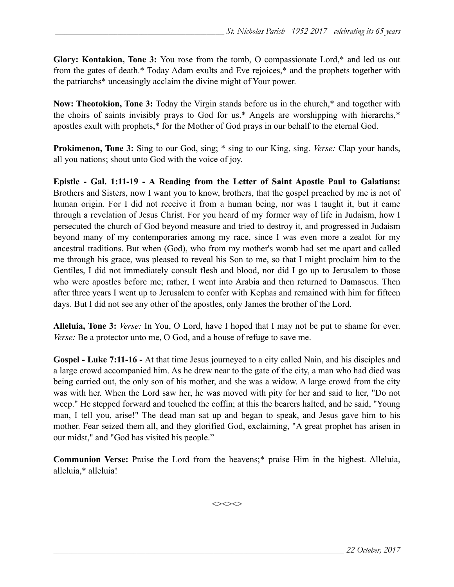**Glory: Kontakion, Tone 3:** You rose from the tomb, O compassionate Lord,\* and led us out from the gates of death.\* Today Adam exults and Eve rejoices,\* and the prophets together with the patriarchs\* unceasingly acclaim the divine might of Your power.

**Now: Theotokion, Tone 3:** Today the Virgin stands before us in the church,\* and together with the choirs of saints invisibly prays to God for us.\* Angels are worshipping with hierarchs,\* apostles exult with prophets,\* for the Mother of God prays in our behalf to the eternal God.

**Prokimenon, Tone 3:** Sing to our God, sing; \* sing to our King, sing. *Verse:* Clap your hands, all you nations; shout unto God with the voice of joy.

**Epistle - Gal. 1:11-19 - A Reading from the Letter of Saint Apostle Paul to Galatians:** Brothers and Sisters, now I want you to know, brothers, that the gospel preached by me is not of human origin. For I did not receive it from a human being, nor was I taught it, but it came through a revelation of Jesus Christ. For you heard of my former way of life in Judaism, how I persecuted the church of God beyond measure and tried to destroy it, and progressed in Judaism beyond many of my contemporaries among my race, since I was even more a zealot for my ancestral traditions. But when (God), who from my mother's womb had set me apart and called me through his grace, was pleased to reveal his Son to me, so that I might proclaim him to the Gentiles, I did not immediately consult flesh and blood, nor did I go up to Jerusalem to those who were apostles before me; rather, I went into Arabia and then returned to Damascus. Then after three years I went up to Jerusalem to confer with Kephas and remained with him for fifteen days. But I did not see any other of the apostles, only James the brother of the Lord.

**Alleluia, Tone 3:** *Verse:* In You, O Lord, have I hoped that I may not be put to shame for ever. *Verse:* Be a protector unto me, O God, and a house of refuge to save me.

**Gospel - Luke 7:11-16 -** At that time Jesus journeyed to a city called Nain, and his disciples and a large crowd accompanied him. As he drew near to the gate of the city, a man who had died was being carried out, the only son of his mother, and she was a widow. A large crowd from the city was with her. When the Lord saw her, he was moved with pity for her and said to her, "Do not weep." He stepped forward and touched the coffin; at this the bearers halted, and he said, "Young man, I tell you, arise!" The dead man sat up and began to speak, and Jesus gave him to his mother. Fear seized them all, and they glorified God, exclaiming, "A great prophet has arisen in our midst," and "God has visited his people."

**Communion Verse:** Praise the Lord from the heavens;\* praise Him in the highest. Alleluia, alleluia,\* alleluia!

 $\iff$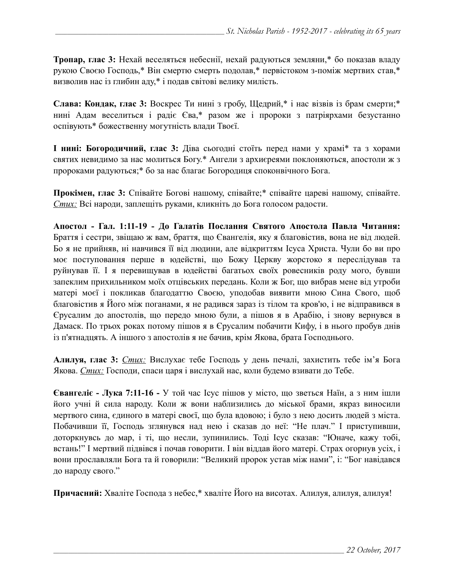**Тропар, глас 3:** Нехай веселяться небеснії, нехай радуються земляни,\* бо показав владу рукою Своєю Господь,\* Він смертю смерть подолав,\* первістоком з-поміж мертвих став,\* визволив нас із глибин аду,\* і подав світові велику милість.

**Слава: Кондак, глас 3:** Воскрес Ти нині з гробу, Щедрий,\* і нас візвів із брам смерти;\* нині Адам веселиться і радіє Єва,\* разом же і пророки з патріярхами безустанно оспівують\* божественну могутність влади Твоєї.

**І нині: Богородичний, глас 3:** Діва сьогодні стоїть перед нами у храмі\* та з хорами святих невидимо за нас молиться Богу.\* Ангели з архиєреями поклоняються, апостоли ж з пророками радуються;\* бо за нас благає Богородиця споконвічного Бога.

**Прокімен, глас 3:** Співайте Богові нашому, співайте;\* співайте цареві нашому, співайте. *Стих:* Всі народи, заплещіть руками, кликніть до Бога голосом радости.

**Апостол - Гал. 1:11-19 - До Галатів Послання Святого Апостола Павла Читання:** Браття і сестри, звіщаю ж вам, браття, що Євангелія, яку я благовістив, вона не від людей. Бо я не прийняв, ні навчився її від людини, але відкриттям Ісуса Христа. Чули бо ви про моє поступовання перше в юдействі, що Божу Церкву жорстоко я переслідував та руйнував її. І я перевищував в юдействі багатьох своїх ровесників роду мого, бувши запеклим прихильником моїх отцівських передань. Коли ж Бог, що вибрав мене від утроби матері моєї і покликав благодаттю Своєю, уподобав виявити мною Сина Свого, щоб благовістив я Його між поганами, я не радився зараз із тілом та кров'ю, і не відправився в Єрусалим до апостолів, що передо мною були, а пішов я в Арабію, і знову вернувся в Дамаск. По трьох роках потому пішов я в Єрусалим побачити Кифу, і в нього пробув днів із п'ятнадцять. А іншого з апостолів я не бачив, крім Якова, брата Господнього.

**Алилуя, глас 3:** *Стих:* Вислухає тебе Господь у день печалі, захистить тебе ім'я Бога Якова. *Стих:* Господи, спаси царя і вислухай нас, коли будемо взивати до Тебе.

**Євангеліє - Лука 7:11-16 -** У той час Ісус пішов у місто, що зветься Наїн, а з ним ішли його учні й сила народу. Коли ж вони наблизились до міської брами, якраз виносили мертвого сина, єдиного в матері своєї, що була вдовою; і було з нею досить людей з міста. Побачивши її, Господь зглянувся над нею і сказав до неї: "Не плач." І приступивши, доторкнувсь до мар, і ті, що несли, зупинились. Тоді Ісус сказав: "Юначе, кажу тобі, встань!" І мертвий підвівся і почав говорити. І він віддав його матері. Страх огорнув усіх, і вони прославляли Бога та й говорили: "Великий пророк устав між нами", і: "Бог навідався до народу свого."

**Причасний:** Хваліте Господа з небес,\* хваліте Його на висотах. Алилуя, алилуя, алилуя!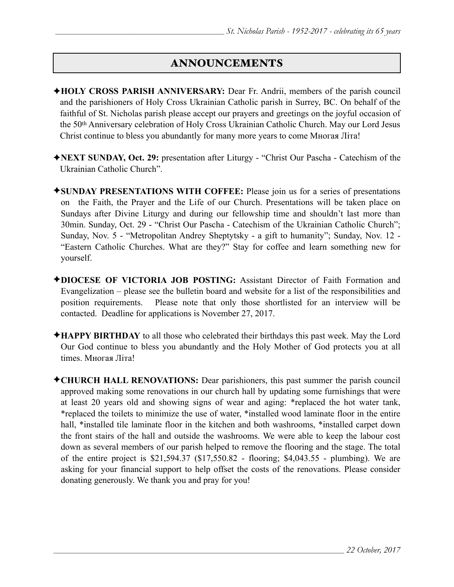## ANNOUNCEMENTS

- ✦**HOLY CROSS PARISH ANNIVERSARY:** Dear Fr. Andrii, members of the parish council and the parishioners of Holy Cross Ukrainian Catholic parish in Surrey, BC. On behalf of the faithful of St. Nicholas parish please accept our prayers and greetings on the joyful occasion of the 50th Anniversary celebration of Holy Cross Ukrainian Catholic Church. May our Lord Jesus Christ continue to bless you abundantly for many more years to come Многая Літа!
- ✦**NEXT SUNDAY, Oct. 29:** presentation after Liturgy "Christ Our Pascha Catechism of the Ukrainian Catholic Church".
- ✦**SUNDAY PRESENTATIONS WITH COFFEE:** Please join us for a series of presentations on the Faith, the Prayer and the Life of our Church. Presentations will be taken place on Sundays after Divine Liturgy and during our fellowship time and shouldn't last more than 30min. Sunday, Oct. 29 - "Christ Our Pascha - Catechism of the Ukrainian Catholic Church"; Sunday, Nov. 5 - "Metropolitan Andrey Sheptytsky - a gift to humanity"; Sunday, Nov. 12 - "Eastern Catholic Churches. What are they?" Stay for coffee and learn something new for yourself.
- ✦**DIOCESE OF VICTORIA JOB POSTING:** Assistant Director of Faith Formation and Evangelization – please see the bulletin board and website for a list of the responsibilities and position requirements. Please note that only those shortlisted for an interview will be contacted. Deadline for applications is November 27, 2017.
- ✦**HAPPY BIRTHDAY** to all those who celebrated their birthdays this past week. May the Lord Our God continue to bless you abundantly and the Holy Mother of God protects you at all times. Многая Літа!
- ✦**CHURCH HALL RENOVATIONS:** Dear parishioners, this past summer the parish council approved making some renovations in our church hall by updating some furnishings that were at least 20 years old and showing signs of wear and aging: \*replaced the hot water tank, \*replaced the toilets to minimize the use of water, \*installed wood laminate floor in the entire hall, \*installed tile laminate floor in the kitchen and both washrooms, \*installed carpet down the front stairs of the hall and outside the washrooms. We were able to keep the labour cost down as several members of our parish helped to remove the flooring and the stage. The total of the entire project is \$21,594.37 (\$17,550.82 - flooring; \$4,043.55 - plumbing). We are asking for your financial support to help offset the costs of the renovations. Please consider donating generously. We thank you and pray for you!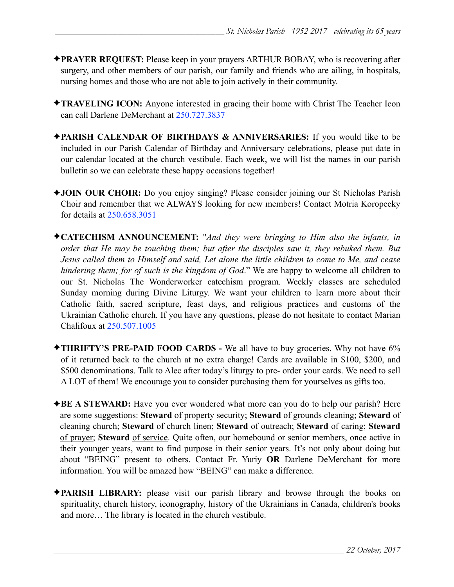- ✦**PRAYER REQUEST:** Please keep in your prayers ARTHUR BOBAY, who is recovering after surgery, and other members of our parish, our family and friends who are ailing, in hospitals, nursing homes and those who are not able to join actively in their community.
- ✦**TRAVELING ICON:** Anyone interested in gracing their home with Christ The Teacher Icon can call Darlene DeMerchant at 250.727.3837
- ✦**PARISH CALENDAR OF BIRTHDAYS & ANNIVERSARIES:** If you would like to be included in our Parish Calendar of Birthday and Anniversary celebrations, please put date in our calendar located at the church vestibule. Each week, we will list the names in our parish bulletin so we can celebrate these happy occasions together!
- ✦**JOIN OUR CHOIR:** Do you enjoy singing? Please consider joining our St Nicholas Parish Choir and remember that we ALWAYS looking for new members! Contact Motria Koropecky for details at 250.658.3051
- ✦**CATECHISM ANNOUNCEMENT:** "*And they were bringing to Him also the infants, in order that He may be touching them; but after the disciples saw it, they rebuked them. But Jesus called them to Himself and said, Let alone the little children to come to Me, and cease hindering them; for of such is the kingdom of God*." We are happy to welcome all children to our St. Nicholas The Wonderworker catechism program. Weekly classes are scheduled Sunday morning during Divine Liturgy. We want your children to learn more about their Catholic faith, sacred scripture, feast days, and religious practices and customs of the Ukrainian Catholic church. If you have any questions, please do not hesitate to contact Marian Chalifoux at 250.507.1005
- ✦**THRIFTY'S PRE-PAID FOOD CARDS** We all have to buy groceries. Why not have 6% of it returned back to the church at no extra charge! Cards are available in \$100, \$200, and \$500 denominations. Talk to Alec after today's liturgy to pre- order your cards. We need to sell A LOT of them! We encourage you to consider purchasing them for yourselves as gifts too.
- ✦**BE A STEWARD:** Have you ever wondered what more can you do to help our parish? Here are some suggestions: **Steward** of property security; **Steward** of grounds cleaning; **Steward** of cleaning church; **Steward** of church linen; **Steward** of outreach; **Steward** of caring; **Steward** of prayer; **Steward** of service. Quite often, our homebound or senior members, once active in their younger years, want to find purpose in their senior years. It's not only about doing but about "BEING" present to others. Contact Fr. Yuriy **OR** Darlene DeMerchant for more information. You will be amazed how "BEING" can make a difference.
- ✦**PARISH LIBRARY:** please visit our parish library and browse through the books on spirituality, church history, iconography, history of the Ukrainians in Canada, children's books and more… The library is located in the church vestibule.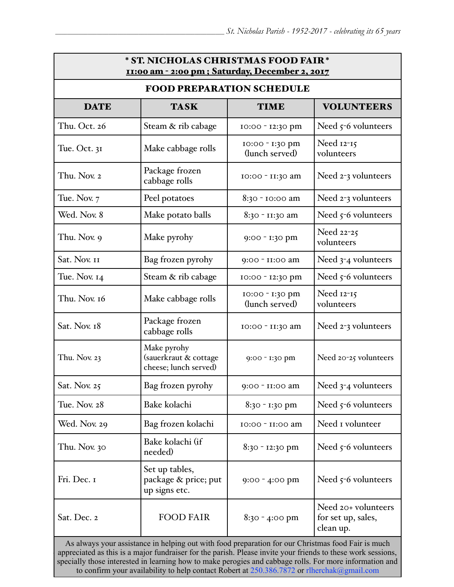| * ST. NICHOLAS CHRISTMAS FOOD FAIR *<br><u>11:00 am - 2:00 pm; Saturday, December 2, 2017</u> |                                                                                     |                                   |                                                        |  |  |  |
|-----------------------------------------------------------------------------------------------|-------------------------------------------------------------------------------------|-----------------------------------|--------------------------------------------------------|--|--|--|
| <b>FOOD PREPARATION SCHEDULE</b>                                                              |                                                                                     |                                   |                                                        |  |  |  |
| <b>DATE</b>                                                                                   | <b>TASK</b>                                                                         | <b>TIME</b>                       | <b>VOLUNTEERS</b>                                      |  |  |  |
| Thu. Oct. 26                                                                                  | Steam & rib cabage                                                                  | 10:00 - 12:30 pm                  | Need $5-6$ volunteers                                  |  |  |  |
| Tue. Oct. 31                                                                                  | Make cabbage rolls                                                                  | 10:00 - 1:30 pm<br>(lunch served) | Need $12-15$<br>volunteers                             |  |  |  |
| Thu. Nov. 2                                                                                   | Package frozen<br>cabbage rolls                                                     | 10:00 - 11:30 am                  | Need $2-3$ volunteers                                  |  |  |  |
| Tue. Nov. 7                                                                                   | Peel potatoes                                                                       | 8:30 - 10:00 am                   | Need $2-3$ volunteers                                  |  |  |  |
| Wed. Nov. 8                                                                                   | Make potato balls                                                                   | 8:30 - 11:30 am                   | Need 5-6 volunteers                                    |  |  |  |
| Thu. Nov. 9                                                                                   | Make pyrohy                                                                         | 9:00 - 1:30 pm                    | Need 22-25<br>volunteers                               |  |  |  |
| Sat. Nov. 11                                                                                  | Bag frozen pyrohy                                                                   | 9:00 - II:00 am                   | Need $3-4$ volunteers                                  |  |  |  |
| Tue. Nov. 14                                                                                  | Steam & rib cabage                                                                  | 10:00 - 12:30 pm                  | Need $5-6$ volunteers                                  |  |  |  |
| Thu. Nov. 16                                                                                  | Make cabbage rolls                                                                  | 10:00 - 1:30 pm<br>(lunch served) | Need 12-15<br>volunteers                               |  |  |  |
| Sat. Nov. 18                                                                                  | Package frozen<br>cabbage rolls                                                     | 10:00 - 11:30 am                  | Need 2-3 volunteers                                    |  |  |  |
| Thu. Nov. 23                                                                                  | Make pyrohy<br>(sauerkraut & cottage<br>cheese; lunch served)                       | 9:00 - 1:30 pm                    | Need 20-25 volunteers                                  |  |  |  |
| Sat. Nov. 25                                                                                  | Bag frozen pyrohy                                                                   | 9:00 - II:00 am                   | Need 3-4 volunteers                                    |  |  |  |
| Tue. Nov. 28                                                                                  | Bake kolachi                                                                        | 8:30 - 1:30 pm                    | Need $5-6$ volunteers                                  |  |  |  |
| Wed. Nov. 29                                                                                  | Bag frozen kolachi                                                                  | 10:00 - 11:00 am                  | Need I volunteer                                       |  |  |  |
| Thu. Nov. 30                                                                                  | Bake kolachi (if<br>needed)                                                         | 8:30 - 12:30 pm                   | Need $5-6$ volunteers                                  |  |  |  |
| Fri. Dec. I                                                                                   | Set up tables,<br>package & price; put<br>up signs etc.                             | $9:00 - 4:00$ pm                  | Need $5-6$ volunteers                                  |  |  |  |
| Sat. Dec. 2                                                                                   | <b>FOOD FAIR</b><br>$\mathbf{r}$ and $\mathbf{r}$ and $\mathbf{r}$ and $\mathbf{r}$ | $8:30 - 4:00 \text{ pm}$          | Need 20+ volunteers<br>for set up, sales,<br>clean up. |  |  |  |

appreciated as this is a major fundraiser for the parish. Please invite your friends to these work sessions, As always your assistance in helping out with food preparation for our Christmas food Fair is much specially those interested in learning how to make perogies and cabbage rolls. For more information and to confirm your availability to help contact Robert at 250.386.7872 or [rlherchak@gmail.com](mailto:rlherchak@gmail.com)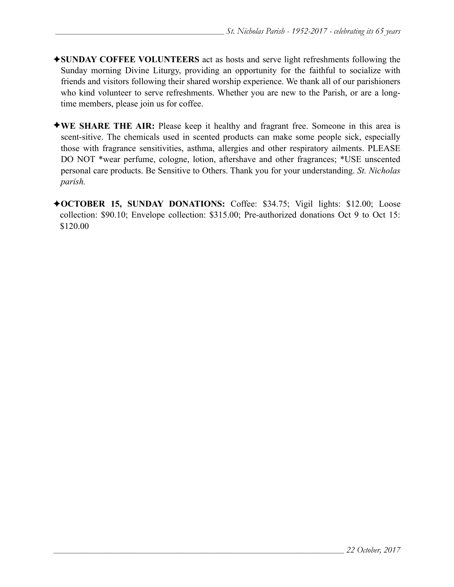- ✦**SUNDAY COFFEE VOLUNTEERS** act as hosts and serve light refreshments following the Sunday morning Divine Liturgy, providing an opportunity for the faithful to socialize with friends and visitors following their shared worship experience. We thank all of our parishioners who kind volunteer to serve refreshments. Whether you are new to the Parish, or are a longtime members, please join us for coffee.
- ✦**WE SHARE THE AIR:** Please keep it healthy and fragrant free. Someone in this area is scent-sitive. The chemicals used in scented products can make some people sick, especially those with fragrance sensitivities, asthma, allergies and other respiratory ailments. PLEASE DO NOT \*wear perfume, cologne, lotion, aftershave and other fragrances; \*USE unscented personal care products. Be Sensitive to Others. Thank you for your understanding. *St. Nicholas parish.*
- ✦**OCTOBER 15, SUNDAY DONATIONS:** Coffee: \$34.75; Vigil lights: \$12.00; Loose collection: \$90.10; Envelope collection: \$315.00; Pre-authorized donations Oct 9 to Oct 15: \$120.00